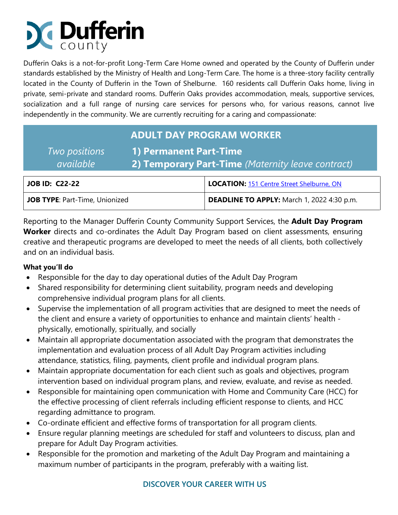# **Dufferin**

Dufferin Oaks is a not-for-profit Long-Term Care Home owned and operated by the County of Dufferin under standards established by the Ministry of Health and Long-Term Care. The home is a three-story facility centrally located in the County of Dufferin in the Town of Shelburne. 160 residents call Dufferin Oaks home, living in private, semi-private and standard rooms. Dufferin Oaks provides accommodation, meals, supportive services, socialization and a full range of nursing care services for persons who, for various reasons, cannot live independently in the community. We are currently recruiting for a caring and compassionate:

## **ADULT DAY PROGRAM WORKER**

| Two positions    | 1) Permanent Part-Time                             |
|------------------|----------------------------------------------------|
| <i>available</i> | (2) Temporary Part-Time (Maternity leave contract) |

| JOB ID: C22-22                        | LOCATION: 151 Centre Street Shelburne, ON  |
|---------------------------------------|--------------------------------------------|
| <b>JOB TYPE: Part-Time, Unionized</b> | DEADLINE TO APPLY: March 1, 2022 4:30 p.m. |

Reporting to the Manager Dufferin County Community Support Services, the **Adult Day Program Worker** directs and co-ordinates the Adult Day Program based on client assessments, ensuring creative and therapeutic programs are developed to meet the needs of all clients, both collectively and on an individual basis.

### **What you'll do**

- Responsible for the day to day operational duties of the Adult Day Program
- Shared responsibility for determining client suitability, program needs and developing comprehensive individual program plans for all clients.
- Supervise the implementation of all program activities that are designed to meet the needs of the client and ensure a variety of opportunities to enhance and maintain clients' health physically, emotionally, spiritually, and socially
- Maintain all appropriate documentation associated with the program that demonstrates the implementation and evaluation process of all Adult Day Program activities including attendance, statistics, filing, payments, client profile and individual program plans.
- Maintain appropriate documentation for each client such as goals and objectives, program intervention based on individual program plans, and review, evaluate, and revise as needed.
- Responsible for maintaining open communication with Home and Community Care (HCC) for the effective processing of client referrals including efficient response to clients, and HCC regarding admittance to program.
- Co-ordinate efficient and effective forms of transportation for all program clients.
- Ensure regular planning meetings are scheduled for staff and volunteers to discuss, plan and prepare for Adult Day Program activities.
- Responsible for the promotion and marketing of the Adult Day Program and maintaining a maximum number of participants in the program, preferably with a waiting list.